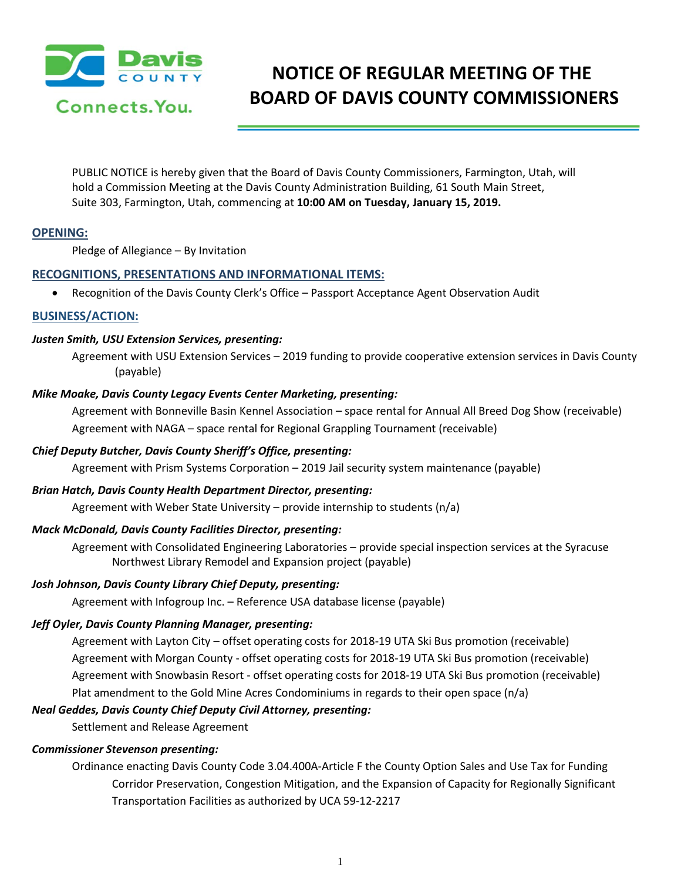

# **NOTICE OF REGULAR MEETING OF THE BOARD OF DAVIS COUNTY COMMISSIONERS**

PUBLIC NOTICE is hereby given that the Board of Davis County Commissioners, Farmington, Utah, will hold a Commission Meeting at the Davis County Administration Building, 61 South Main Street, Suite 303, Farmington, Utah, commencing at **10:00 AM on Tuesday, January 15, 2019.**

## **OPENING:**

Pledge of Allegiance – By Invitation

## **RECOGNITIONS, PRESENTATIONS AND INFORMATIONAL ITEMS:**

• Recognition of the Davis County Clerk's Office – Passport Acceptance Agent Observation Audit

# **BUSINESS/ACTION:**

### *Justen Smith, USU Extension Services, presenting:*

Agreement with USU Extension Services – 2019 funding to provide cooperative extension services in Davis County (payable)

### *Mike Moake, Davis County Legacy Events Center Marketing, presenting:*

Agreement with Bonneville Basin Kennel Association – space rental for Annual All Breed Dog Show (receivable) Agreement with NAGA – space rental for Regional Grappling Tournament (receivable)

## *Chief Deputy Butcher, Davis County Sheriff's Office, presenting:*

Agreement with Prism Systems Corporation – 2019 Jail security system maintenance (payable)

## *Brian Hatch, Davis County Health Department Director, presenting:*

Agreement with Weber State University – provide internship to students (n/a)

## *Mack McDonald, Davis County Facilities Director, presenting:*

Agreement with Consolidated Engineering Laboratories – provide special inspection services at the Syracuse Northwest Library Remodel and Expansion project (payable)

#### *Josh Johnson, Davis County Library Chief Deputy, presenting:*

Agreement with Infogroup Inc. – Reference USA database license (payable)

## *Jeff Oyler, Davis County Planning Manager, presenting:*

Agreement with Layton City – offset operating costs for 2018-19 UTA Ski Bus promotion (receivable) Agreement with Morgan County - offset operating costs for 2018-19 UTA Ski Bus promotion (receivable) Agreement with Snowbasin Resort - offset operating costs for 2018-19 UTA Ski Bus promotion (receivable) Plat amendment to the Gold Mine Acres Condominiums in regards to their open space (n/a)

## *Neal Geddes, Davis County Chief Deputy Civil Attorney, presenting:*

Settlement and Release Agreement

## *Commissioner Stevenson presenting:*

Ordinance enacting Davis County Code 3.04.400A-Article F the County Option Sales and Use Tax for Funding Corridor Preservation, Congestion Mitigation, and the Expansion of Capacity for Regionally Significant Transportation Facilities as authorized by UCA 59-12-2217